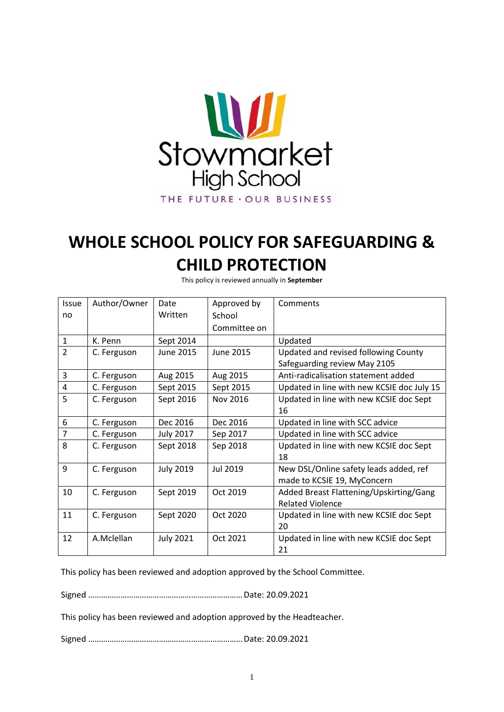

# **WHOLE SCHOOL POLICY FOR SAFEGUARDING & CHILD PROTECTION**

This policy is reviewed annually in **September**

| <b>Issue</b>   | Author/Owner | Date             | Approved by  | Comments                                   |
|----------------|--------------|------------------|--------------|--------------------------------------------|
| no             |              | Written          | School       |                                            |
|                |              |                  | Committee on |                                            |
| $\mathbf{1}$   | K. Penn      | Sept 2014        |              | Updated                                    |
| $\overline{2}$ | C. Ferguson  | June 2015        | June 2015    | Updated and revised following County       |
|                |              |                  |              | Safeguarding review May 2105               |
| 3              | C. Ferguson  | Aug 2015         | Aug 2015     | Anti-radicalisation statement added        |
| 4              | C. Ferguson  | Sept 2015        | Sept 2015    | Updated in line with new KCSIE doc July 15 |
| 5              | C. Ferguson  | Sept 2016        | Nov 2016     | Updated in line with new KCSIE doc Sept    |
|                |              |                  |              | 16                                         |
| 6              | C. Ferguson  | Dec 2016         | Dec 2016     | Updated in line with SCC advice            |
| $\overline{7}$ | C. Ferguson  | <b>July 2017</b> | Sep 2017     | Updated in line with SCC advice            |
| 8              | C. Ferguson  | Sept 2018        | Sep 2018     | Updated in line with new KCSIE doc Sept    |
|                |              |                  |              | 18                                         |
| 9              | C. Ferguson  | <b>July 2019</b> | Jul 2019     | New DSL/Online safety leads added, ref     |
|                |              |                  |              | made to KCSIE 19, MyConcern                |
| 10             | C. Ferguson  | Sept 2019        | Oct 2019     | Added Breast Flattening/Upskirting/Gang    |
|                |              |                  |              | <b>Related Violence</b>                    |
| 11             | C. Ferguson  | Sept 2020        | Oct 2020     | Updated in line with new KCSIE doc Sept    |
|                |              |                  |              | 20                                         |
| 12             | A.Mclellan   | <b>July 2021</b> | Oct 2021     | Updated in line with new KCSIE doc Sept    |
|                |              |                  |              | 21                                         |

This policy has been reviewed and adoption approved by the School Committee.

Signed ………………………………………………………………Date: 20.09.2021

This policy has been reviewed and adoption approved by the Headteacher.

Signed ………………………………………………………………Date: 20.09.2021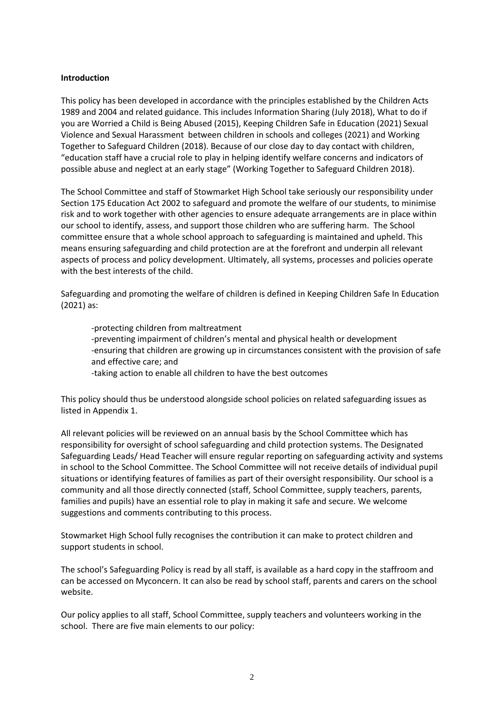#### **Introduction**

This policy has been developed in accordance with the principles established by the Children Acts 1989 and 2004 and related guidance. This includes Information Sharing (July 2018), What to do if you are Worried a Child is Being Abused (2015), Keeping Children Safe in Education (2021) Sexual Violence and Sexual Harassment between children in schools and colleges (2021) and Working Together to Safeguard Children (2018). Because of our close day to day contact with children, "education staff have a crucial role to play in helping identify welfare concerns and indicators of possible abuse and neglect at an early stage" (Working Together to Safeguard Children 2018).

The School Committee and staff of Stowmarket High School take seriously our responsibility under Section 175 Education Act 2002 to safeguard and promote the welfare of our students, to minimise risk and to work together with other agencies to ensure adequate arrangements are in place within our school to identify, assess, and support those children who are suffering harm. The School committee ensure that a whole school approach to safeguarding is maintained and upheld. This means ensuring safeguarding and child protection are at the forefront and underpin all relevant aspects of process and policy development. Ultimately, all systems, processes and policies operate with the best interests of the child.

Safeguarding and promoting the welfare of children is defined in [Keeping](https://www.gov.uk/government/publications/working-together-to-safeguard-children--2) Children Safe In Education (2021) as:

-protecting children from maltreatment

- -preventing impairment of children's mental and physical health or development -ensuring that children are growing up in circumstances consistent with the provision of safe and effective care; and
- -taking action to enable all children to have the best outcomes

This policy should thus be understood alongside school policies on related safeguarding issues as listed in Appendix 1.

All relevant policies will be reviewed on an annual basis by the School Committee which has responsibility for oversight of school safeguarding and child protection systems. The Designated Safeguarding Leads/ Head Teacher will ensure regular reporting on safeguarding activity and systems in school to the School Committee. The School Committee will not receive details of individual pupil situations or identifying features of families as part of their oversight responsibility. Our school is a community and all those directly connected (staff, School Committee, supply teachers, parents, families and pupils) have an essential role to play in making it safe and secure. We welcome suggestions and comments contributing to this process.

Stowmarket High School fully recognises the contribution it can make to protect children and support students in school.

The school's Safeguarding Policy is read by all staff, is available as a hard copy in the staffroom and can be accessed on Myconcern. It can also be read by school staff, parents and carers on the school website.

Our policy applies to all staff, School Committee, supply teachers and volunteers working in the school. There are five main elements to our policy: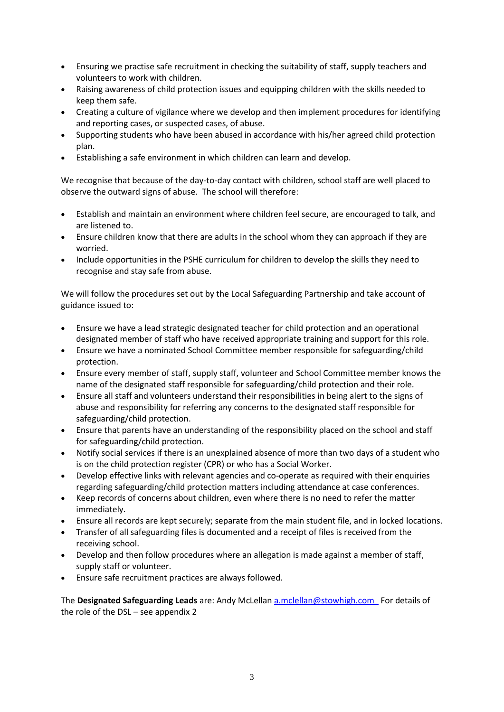- Ensuring we practise safe recruitment in checking the suitability of staff, supply teachers and volunteers to work with children.
- Raising awareness of child protection issues and equipping children with the skills needed to keep them safe.
- Creating a culture of vigilance where we develop and then implement procedures for identifying and reporting cases, or suspected cases, of abuse.
- Supporting students who have been abused in accordance with his/her agreed child protection plan.
- Establishing a safe environment in which children can learn and develop.

We recognise that because of the day-to-day contact with children, school staff are well placed to observe the outward signs of abuse. The school will therefore:

- Establish and maintain an environment where children feel secure, are encouraged to talk, and are listened to.
- Ensure children know that there are adults in the school whom they can approach if they are worried.
- Include opportunities in the PSHE curriculum for children to develop the skills they need to recognise and stay safe from abuse.

We will follow the procedures set out by the Local Safeguarding Partnership and take account of guidance issued to:

- Ensure we have a lead strategic designated teacher for child protection and an operational designated member of staff who have received appropriate training and support for this role.
- Ensure we have a nominated School Committee member responsible for safeguarding/child protection.
- Ensure every member of staff, supply staff, volunteer and School Committee member knows the name of the designated staff responsible for safeguarding/child protection and their role.
- Ensure all staff and volunteers understand their responsibilities in being alert to the signs of abuse and responsibility for referring any concerns to the designated staff responsible for safeguarding/child protection.
- Ensure that parents have an understanding of the responsibility placed on the school and staff for safeguarding/child protection.
- Notify social services if there is an unexplained absence of more than two days of a student who is on the child protection register (CPR) or who has a Social Worker.
- Develop effective links with relevant agencies and co-operate as required with their enquiries regarding safeguarding/child protection matters including attendance at case conferences.
- Keep records of concerns about children, even where there is no need to refer the matter immediately.
- Ensure all records are kept securely; separate from the main student file, and in locked locations.
- Transfer of all safeguarding files is documented and a receipt of files is received from the receiving school.
- Develop and then follow procedures where an allegation is made against a member of staff, supply staff or volunteer.
- Ensure safe recruitment practices are always followed.

The **Designated Safeguarding Leads** are: Andy McLellan [a.mclellan@stowhigh.com](mailto:a.mclellan@stowhigh.com) For details of the role of the DSL – see appendix 2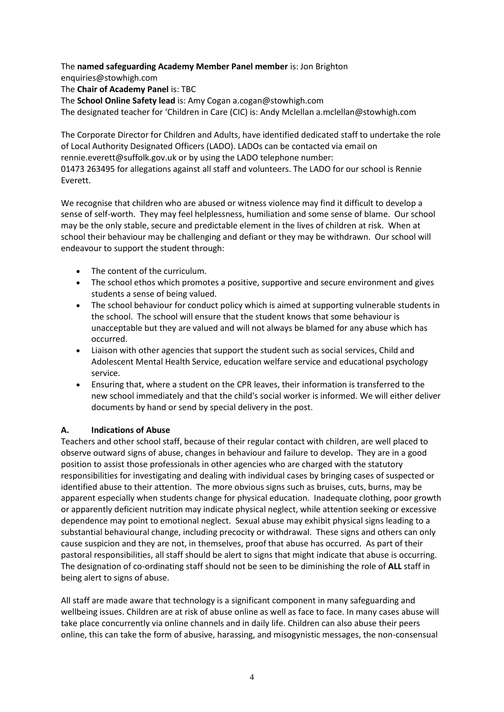The **named safeguarding Academy Member Panel member** is: Jon Brighton enquiries@stowhigh.com The **Chair of Academy Panel** is: TBC The **School Online Safety lead** is: Amy Cogan a.cogan@stowhigh.com

The designated teacher for 'Children in Care (CIC) is: Andy Mclellan a.mclellan@stowhigh.com

The Corporate Director for Children and Adults, have identified dedicated staff to undertake the role of Local Authority Designated Officers (LADO). LADOs can be contacted via email on rennie.everett@suffolk.gov.uk or by using the LADO telephone number: 01473 263495 for allegations against all staff and volunteers. The LADO for our school is Rennie Everett.

We recognise that children who are abused or witness violence may find it difficult to develop a sense of self-worth. They may feel helplessness, humiliation and some sense of blame. Our school may be the only stable, secure and predictable element in the lives of children at risk. When at school their behaviour may be challenging and defiant or they may be withdrawn. Our school will endeavour to support the student through:

- The content of the curriculum.
- The school ethos which promotes a positive, supportive and secure environment and gives students a sense of being valued.
- The school behaviour for conduct policy which is aimed at supporting vulnerable students in the school. The school will ensure that the student knows that some behaviour is unacceptable but they are valued and will not always be blamed for any abuse which has occurred.
- Liaison with other agencies that support the student such as social services, Child and Adolescent Mental Health Service, education welfare service and educational psychology service.
- Ensuring that, where a student on the CPR leaves, their information is transferred to the new school immediately and that the child's social worker is informed. We will either deliver documents by hand or send by special delivery in the post.

## **A. Indications of Abuse**

Teachers and other school staff, because of their regular contact with children, are well placed to observe outward signs of abuse, changes in behaviour and failure to develop. They are in a good position to assist those professionals in other agencies who are charged with the statutory responsibilities for investigating and dealing with individual cases by bringing cases of suspected or identified abuse to their attention. The more obvious signs such as bruises, cuts, burns, may be apparent especially when students change for physical education. Inadequate clothing, poor growth or apparently deficient nutrition may indicate physical neglect, while attention seeking or excessive dependence may point to emotional neglect. Sexual abuse may exhibit physical signs leading to a substantial behavioural change, including precocity or withdrawal. These signs and others can only cause suspicion and they are not, in themselves, proof that abuse has occurred. As part of their pastoral responsibilities, all staff should be alert to signs that might indicate that abuse is occurring. The designation of co-ordinating staff should not be seen to be diminishing the role of **ALL** staff in being alert to signs of abuse.

All staff are made aware that technology is a significant component in many safeguarding and wellbeing issues. Children are at risk of abuse online as well as face to face. In many cases abuse will take place concurrently via online channels and in daily life. Children can also abuse their peers online, this can take the form of abusive, harassing, and misogynistic messages, the non-consensual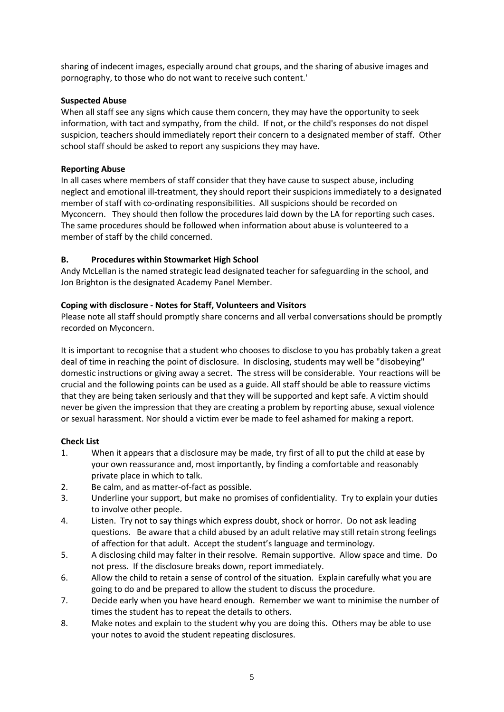sharing of indecent images, especially around chat groups, and the sharing of abusive images and pornography, to those who do not want to receive such content.'

## **Suspected Abuse**

When all staff see any signs which cause them concern, they may have the opportunity to seek information, with tact and sympathy, from the child. If not, or the child's responses do not dispel suspicion, teachers should immediately report their concern to a designated member of staff. Other school staff should be asked to report any suspicions they may have.

## **Reporting Abuse**

In all cases where members of staff consider that they have cause to suspect abuse, including neglect and emotional ill-treatment, they should report their suspicions immediately to a designated member of staff with co-ordinating responsibilities. All suspicions should be recorded on Myconcern. They should then follow the procedures laid down by the LA for reporting such cases. The same procedures should be followed when information about abuse is volunteered to a member of staff by the child concerned.

## **B. Procedures within Stowmarket High School**

Andy McLellan is the named strategic lead designated teacher for safeguarding in the school, and Jon Brighton is the designated Academy Panel Member.

## **Coping with disclosure - Notes for Staff, Volunteers and Visitors**

Please note all staff should promptly share concerns and all verbal conversations should be promptly recorded on Myconcern.

It is important to recognise that a student who chooses to disclose to you has probably taken a great deal of time in reaching the point of disclosure. In disclosing, students may well be "disobeying" domestic instructions or giving away a secret. The stress will be considerable. Your reactions will be crucial and the following points can be used as a guide. All staff should be able to reassure victims that they are being taken seriously and that they will be supported and kept safe. A victim should never be given the impression that they are creating a problem by reporting abuse, sexual violence or sexual harassment. Nor should a victim ever be made to feel ashamed for making a report.

#### **Check List**

- 1. When it appears that a disclosure may be made, try first of all to put the child at ease by your own reassurance and, most importantly, by finding a comfortable and reasonably private place in which to talk.
- 2. Be calm, and as matter-of-fact as possible.
- 3. Underline your support, but make no promises of confidentiality. Try to explain your duties to involve other people.
- 4. Listen. Try not to say things which express doubt, shock or horror. Do not ask leading questions. Be aware that a child abused by an adult relative may still retain strong feelings of affection for that adult. Accept the student's language and terminology.
- 5. A disclosing child may falter in their resolve. Remain supportive. Allow space and time. Do not press. If the disclosure breaks down, report immediately.
- 6. Allow the child to retain a sense of control of the situation. Explain carefully what you are going to do and be prepared to allow the student to discuss the procedure.
- 7. Decide early when you have heard enough. Remember we want to minimise the number of times the student has to repeat the details to others.
- 8. Make notes and explain to the student why you are doing this. Others may be able to use your notes to avoid the student repeating disclosures.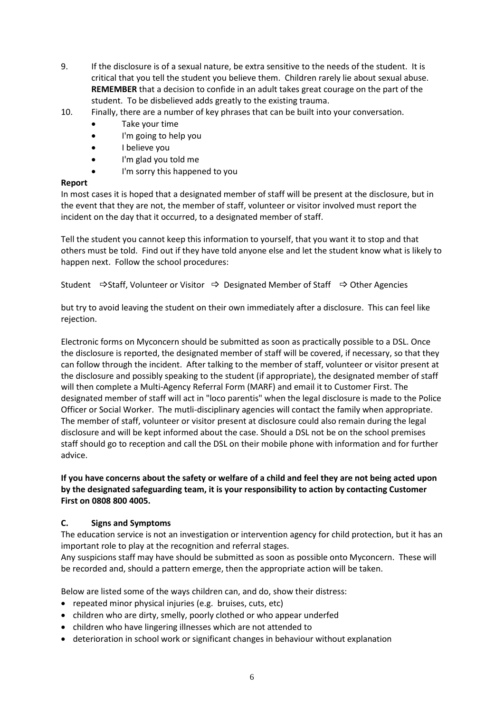- 9. If the disclosure is of a sexual nature, be extra sensitive to the needs of the student. It is critical that you tell the student you believe them. Children rarely lie about sexual abuse. **REMEMBER** that a decision to confide in an adult takes great courage on the part of the student. To be disbelieved adds greatly to the existing trauma.
- 10. Finally, there are a number of key phrases that can be built into your conversation.
	- Take your time
	- I'm going to help you
	- I believe you
	- I'm glad you told me
	- I'm sorry this happened to you

#### **Report**

In most cases it is hoped that a designated member of staff will be present at the disclosure, but in the event that they are not, the member of staff, volunteer or visitor involved must report the incident on the day that it occurred, to a designated member of staff.

Tell the student you cannot keep this information to yourself, that you want it to stop and that others must be told. Find out if they have told anyone else and let the student know what is likely to happen next. Follow the school procedures:

Student  $\Rightarrow$  Staff, Volunteer or Visitor  $\Rightarrow$  Designated Member of Staff  $\Rightarrow$  Other Agencies

but try to avoid leaving the student on their own immediately after a disclosure. This can feel like rejection.

Electronic forms on Myconcern should be submitted as soon as practically possible to a DSL. Once the disclosure is reported, the designated member of staff will be covered, if necessary, so that they can follow through the incident. After talking to the member of staff, volunteer or visitor present at the disclosure and possibly speaking to the student (if appropriate), the designated member of staff will then complete a Multi-Agency Referral Form (MARF) and email it to Customer First. The designated member of staff will act in "loco parentis" when the legal disclosure is made to the Police Officer or Social Worker. The mutli-disciplinary agencies will contact the family when appropriate. The member of staff, volunteer or visitor present at disclosure could also remain during the legal disclosure and will be kept informed about the case. Should a DSL not be on the school premises staff should go to reception and call the DSL on their mobile phone with information and for further advice.

## **If you have concerns about the safety or welfare of a child and feel they are not being acted upon by the designated safeguarding team, it is your responsibility to action by contacting Customer First on 0808 800 4005.**

#### **C. Signs and Symptoms**

The education service is not an investigation or intervention agency for child protection, but it has an important role to play at the recognition and referral stages.

Any suspicions staff may have should be submitted as soon as possible onto Myconcern. These will be recorded and, should a pattern emerge, then the appropriate action will be taken.

Below are listed some of the ways children can, and do, show their distress:

- repeated minor physical injuries (e.g. bruises, cuts, etc)
- children who are dirty, smelly, poorly clothed or who appear underfed
- children who have lingering illnesses which are not attended to
- deterioration in school work or significant changes in behaviour without explanation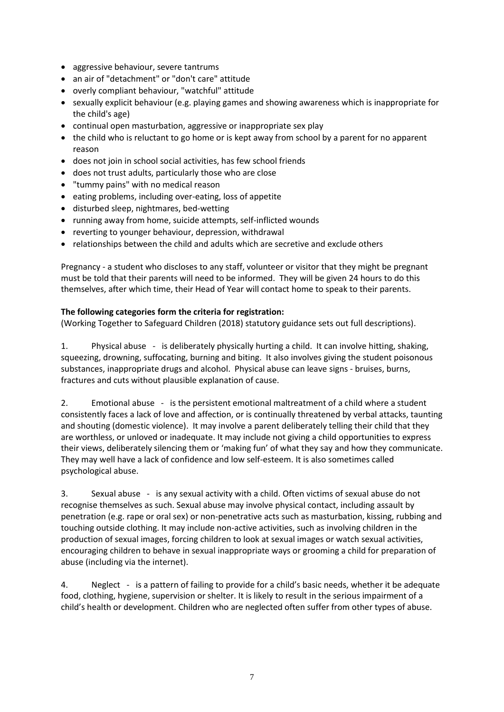- aggressive behaviour, severe tantrums
- an air of "detachment" or "don't care" attitude
- overly compliant behaviour, "watchful" attitude
- sexually explicit behaviour (e.g. playing games and showing awareness which is inappropriate for the child's age)
- continual open masturbation, aggressive or inappropriate sex play
- the child who is reluctant to go home or is kept away from school by a parent for no apparent reason
- does not join in school social activities, has few school friends
- does not trust adults, particularly those who are close
- "tummy pains" with no medical reason
- $\bullet$  eating problems, including over-eating, loss of appetite
- disturbed sleep, nightmares, bed-wetting
- running away from home, suicide attempts, self-inflicted wounds
- reverting to younger behaviour, depression, withdrawal
- relationships between the child and adults which are secretive and exclude others

Pregnancy - a student who discloses to any staff, volunteer or visitor that they might be pregnant must be told that their parents will need to be informed. They will be given 24 hours to do this themselves, after which time, their Head of Year will contact home to speak to their parents.

#### **The following categories form the criteria for registration:**

(Working Together to Safeguard Children (2018) statutory guidance sets out full descriptions).

1. Physical abuse - is deliberately physically hurting a child. It can involve hitting, shaking, squeezing, drowning, suffocating, burning and biting. It also involves giving the student poisonous substances, inappropriate drugs and alcohol. Physical abuse can leave signs - bruises, burns, fractures and cuts without plausible explanation of cause.

2. Emotional abuse - is the persistent emotional maltreatment of a child where a student consistently faces a lack of love and affection, or is continually threatened by verbal attacks, taunting and shouting (domestic violence). It may involve a parent deliberately telling their child that they are worthless, or unloved or inadequate. It may include not giving a child opportunities to express their views, deliberately silencing them or 'making fun' of what they say and how they communicate. They may well have a lack of confidence and low self-esteem. It is also sometimes called psychological abuse.

3. Sexual abuse - is any sexual activity with a child. Often victims of sexual abuse do not recognise themselves as such. Sexual abuse may involve physical contact, including assault by penetration (e.g. rape or oral sex) or non-penetrative acts such as masturbation, kissing, rubbing and touching outside clothing. It may include non-active activities, such as involving children in the production of sexual images, forcing children to look at sexual images or watch sexual activities, encouraging children to behave in sexual inappropriate ways or grooming a child for preparation of abuse (including via the internet).

4. Neglect - is a pattern of failing to provide for a child's basic needs, whether it be adequate food, clothing, hygiene, supervision or shelter. It is likely to result in the serious impairment of a child's health or development. Children who are neglected often suffer from other types of abuse.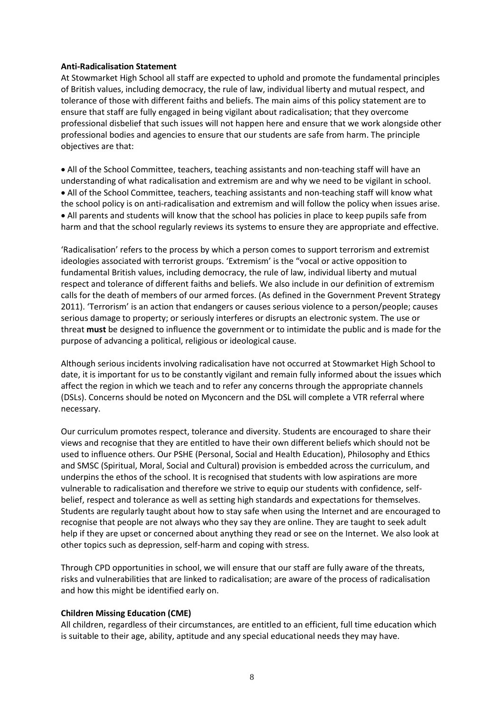#### **Anti-Radicalisation Statement**

At Stowmarket High School all staff are expected to uphold and promote the fundamental principles of British values, including democracy, the rule of law, individual liberty and mutual respect, and tolerance of those with different faiths and beliefs. The main aims of this policy statement are to ensure that staff are fully engaged in being vigilant about radicalisation; that they overcome professional disbelief that such issues will not happen here and ensure that we work alongside other professional bodies and agencies to ensure that our students are safe from harm. The principle objectives are that:

 All of the School Committee, teachers, teaching assistants and non-teaching staff will have an understanding of what radicalisation and extremism are and why we need to be vigilant in school. All of the School Committee, teachers, teaching assistants and non-teaching staff will know what the school policy is on anti-radicalisation and extremism and will follow the policy when issues arise. All parents and students will know that the school has policies in place to keep pupils safe from harm and that the school regularly reviews its systems to ensure they are appropriate and effective.

'Radicalisation' refers to the process by which a person comes to support terrorism and extremist ideologies associated with terrorist groups. 'Extremism' is the "vocal or active opposition to fundamental British values, including democracy, the rule of law, individual liberty and mutual respect and tolerance of different faiths and beliefs. We also include in our definition of extremism calls for the death of members of our armed forces. (As defined in the Government Prevent Strategy 2011). 'Terrorism' is an action that endangers or causes serious violence to a person/people; causes serious damage to property; or seriously interferes or disrupts an electronic system. The use or threat **must** be designed to influence the government or to intimidate the public and is made for the purpose of advancing a political, religious or ideological cause.

Although serious incidents involving radicalisation have not occurred at Stowmarket High School to date, it is important for us to be constantly vigilant and remain fully informed about the issues which affect the region in which we teach and to refer any concerns through the appropriate channels (DSLs). Concerns should be noted on Myconcern and the DSL will complete a VTR referral where necessary.

Our curriculum promotes respect, tolerance and diversity. Students are encouraged to share their views and recognise that they are entitled to have their own different beliefs which should not be used to influence others. Our PSHE (Personal, Social and Health Education), Philosophy and Ethics and SMSC (Spiritual, Moral, Social and Cultural) provision is embedded across the curriculum, and underpins the ethos of the school. It is recognised that students with low aspirations are more vulnerable to radicalisation and therefore we strive to equip our students with confidence, selfbelief, respect and tolerance as well as setting high standards and expectations for themselves. Students are regularly taught about how to stay safe when using the Internet and are encouraged to recognise that people are not always who they say they are online. They are taught to seek adult help if they are upset or concerned about anything they read or see on the Internet. We also look at other topics such as depression, self-harm and coping with stress.

Through CPD opportunities in school, we will ensure that our staff are fully aware of the threats, risks and vulnerabilities that are linked to radicalisation; are aware of the process of radicalisation and how this might be identified early on.

#### **Children Missing Education (CME)**

All children, regardless of their circumstances, are entitled to an efficient, full time education which is suitable to their age, ability, aptitude and any special educational needs they may have.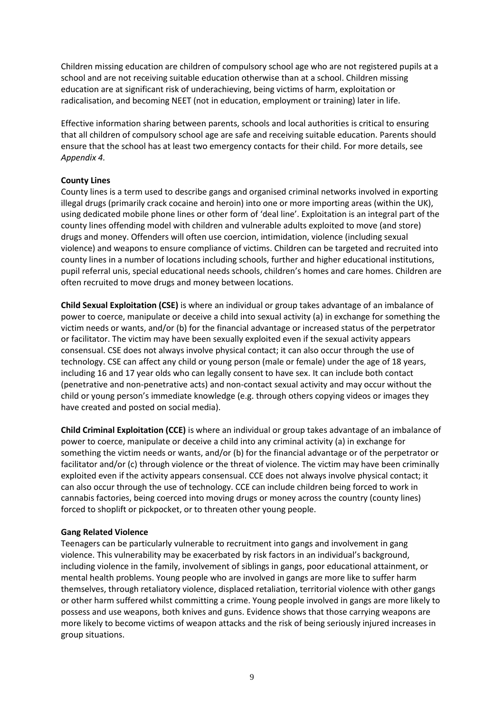Children missing education are children of compulsory school age who are not registered pupils at a school and are not receiving suitable education otherwise than at a school. Children missing education are at significant risk of underachieving, being victims of harm, exploitation or radicalisation, and becoming NEET (not in education, employment or training) later in life.

Effective information sharing between parents, schools and local authorities is critical to ensuring that all children of compulsory school age are safe and receiving suitable education. Parents should ensure that the school has at least two emergency contacts for their child. For more details, see *Appendix 4.*

## **County Lines**

County lines is a term used to describe gangs and organised criminal networks involved in exporting illegal drugs (primarily crack cocaine and heroin) into one or more importing areas (within the UK), using dedicated mobile phone lines or other form of 'deal line'. Exploitation is an integral part of the county lines offending model with children and vulnerable adults exploited to move (and store) drugs and money. Offenders will often use coercion, intimidation, violence (including sexual violence) and weapons to ensure compliance of victims. Children can be targeted and recruited into county lines in a number of locations including schools, further and higher educational institutions, pupil referral unis, special educational needs schools, children's homes and care homes. Children are often recruited to move drugs and money between locations.

**Child Sexual Exploitation (CSE)** is where an individual or group takes advantage of an imbalance of power to coerce, manipulate or deceive a child into sexual activity (a) in exchange for something the victim needs or wants, and/or (b) for the financial advantage or increased status of the perpetrator or facilitator. The victim may have been sexually exploited even if the sexual activity appears consensual. CSE does not always involve physical contact; it can also occur through the use of technology. CSE can affect any child or young person (male or female) under the age of 18 years, including 16 and 17 year olds who can legally consent to have sex. It can include both contact (penetrative and non-penetrative acts) and non-contact sexual activity and may occur without the child or young person's immediate knowledge (e.g. through others copying videos or images they have created and posted on social media).

**Child Criminal Exploitation (CCE)** is where an individual or group takes advantage of an imbalance of power to coerce, manipulate or deceive a child into any criminal activity (a) in exchange for something the victim needs or wants, and/or (b) for the financial advantage or of the perpetrator or facilitator and/or (c) through violence or the threat of violence. The victim may have been criminally exploited even if the activity appears consensual. CCE does not always involve physical contact; it can also occur through the use of technology. CCE can include children being forced to work in cannabis factories, being coerced into moving drugs or money across the country (county lines) forced to shoplift or pickpocket, or to threaten other young people.

#### **Gang Related Violence**

Teenagers can be particularly vulnerable to recruitment into gangs and involvement in gang violence. This vulnerability may be exacerbated by risk factors in an individual's background, including violence in the family, involvement of siblings in gangs, poor educational attainment, or mental health problems. Young people who are involved in gangs are more like to suffer harm themselves, through retaliatory violence, displaced retaliation, territorial violence with other gangs or other harm suffered whilst committing a crime. Young people involved in gangs are more likely to possess and use weapons, both knives and guns. Evidence shows that those carrying weapons are more likely to become victims of weapon attacks and the risk of being seriously injured increases in group situations.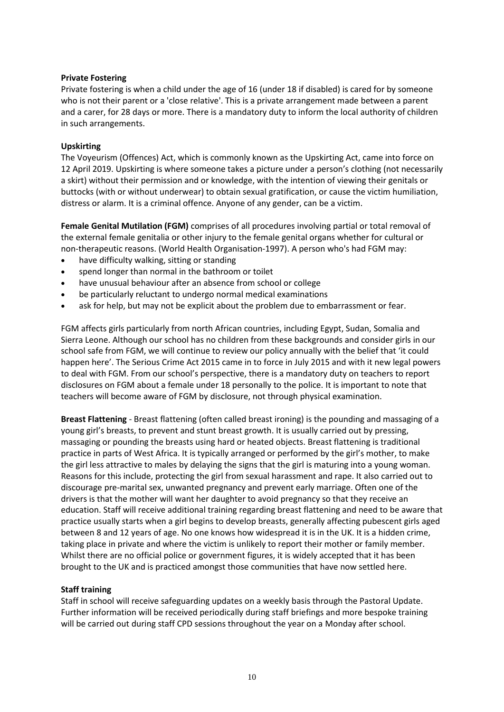## **Private Fostering**

Private fostering is when a child under the age of 16 (under 18 if disabled) is cared for by someone who is not their parent or a 'close relative'. This is a private arrangement made between a parent and a carer, for 28 days or more. There is a mandatory duty to inform the local authority of children in such arrangements.

#### **Upskirting**

The Voyeurism (Offences) Act, which is commonly known as the Upskirting Act, came into force on 12 April 2019. Upskirting is where someone takes a picture under a person's clothing (not necessarily a skirt) without their permission and or knowledge, with the intention of viewing their genitals or buttocks (with or without underwear) to obtain sexual gratification, or cause the victim humiliation, distress or alarm. It is a criminal offence. Anyone of any gender, can be a victim.

**Female Genital Mutilation (FGM)** comprises of all procedures involving partial or total removal of the external female genitalia or other injury to the female genital organs whether for cultural or non-therapeutic reasons. (World Health Organisation-1997). A person who's had FGM may:

- have difficulty walking, sitting or standing
- spend longer than normal in the bathroom or toilet
- have unusual behaviour after an absence from school or college
- be particularly reluctant to undergo normal medical examinations
- ask for help, but may not be explicit about the problem due to embarrassment or fear.

FGM affects girls particularly from north African countries, including Egypt, Sudan, Somalia and Sierra Leone. Although our school has no children from these backgrounds and consider girls in our school safe from FGM, we will continue to review our policy annually with the belief that 'it could happen here'. The Serious Crime Act 2015 came in to force in July 2015 and with it new legal powers to deal with FGM. From our school's perspective, there is a mandatory duty on teachers to report disclosures on FGM about a female under 18 personally to the police. It is important to note that teachers will become aware of FGM by disclosure, not through physical examination.

**Breast Flattening** - Breast flattening (often called breast ironing) is the pounding and massaging of a young girl's breasts, to prevent and stunt breast growth. It is usually carried out by pressing, massaging or pounding the breasts using hard or heated objects. Breast flattening is traditional practice in parts of West Africa. It is typically arranged or performed by the girl's mother, to make the girl less attractive to males by delaying the signs that the girl is maturing into a young woman. Reasons for this include, protecting the girl from sexual harassment and rape. It also carried out to discourage pre-marital sex, unwanted pregnancy and prevent early marriage. Often one of the drivers is that the mother will want her daughter to avoid pregnancy so that they receive an education. Staff will receive additional training regarding breast flattening and need to be aware that practice usually starts when a girl begins to develop breasts, generally affecting pubescent girls aged between 8 and 12 years of age. No one knows how widespread it is in the UK. It is a hidden crime, taking place in private and where the victim is unlikely to report their mother or family member. Whilst there are no official police or government figures, it is widely accepted that it has been brought to the UK and is practiced amongst those communities that have now settled here.

#### **Staff training**

Staff in school will receive safeguarding updates on a weekly basis through the Pastoral Update. Further information will be received periodically during staff briefings and more bespoke training will be carried out during staff CPD sessions throughout the year on a Monday after school.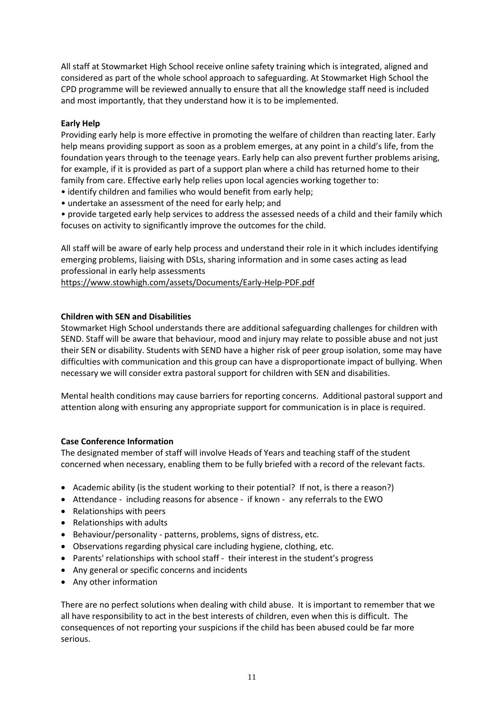All staff at Stowmarket High School receive online safety training which is integrated, aligned and considered as part of the whole school approach to safeguarding. At Stowmarket High School the CPD programme will be reviewed annually to ensure that all the knowledge staff need is included and most importantly, that they understand how it is to be implemented.

## **Early Help**

Providing early help is more effective in promoting the welfare of children than reacting later. Early help means providing support as soon as a problem emerges, at any point in a child's life, from the foundation years through to the teenage years. Early help can also prevent further problems arising, for example, if it is provided as part of a support plan where a child has returned home to their family from care. Effective early help relies upon local agencies working together to:

- identify children and families who would benefit from early help;
- undertake an assessment of the need for early help; and

• provide targeted early help services to address the assessed needs of a child and their family which focuses on activity to significantly improve the outcomes for the child.

All staff will be aware of early help process and understand their role in it which includes identifying emerging problems, liaising with DSLs, sharing information and in some cases acting as lead professional in early help assessments

<https://www.stowhigh.com/assets/Documents/Early-Help-PDF.pdf>

## **Children with SEN and Disabilities**

Stowmarket High School understands there are additional safeguarding challenges for children with SEND. Staff will be aware that behaviour, mood and injury may relate to possible abuse and not just their SEN or disability. Students with SEND have a higher risk of peer group isolation, some may have difficulties with communication and this group can have a disproportionate impact of bullying. When necessary we will consider extra pastoral support for children with SEN and disabilities.

Mental health conditions may cause barriers for reporting concerns. Additional pastoral support and attention along with ensuring any appropriate support for communication is in place is required.

#### **Case Conference Information**

The designated member of staff will involve Heads of Years and teaching staff of the student concerned when necessary, enabling them to be fully briefed with a record of the relevant facts.

- Academic ability (is the student working to their potential? If not, is there a reason?)
- Attendance including reasons for absence if known any referrals to the EWO
- Relationships with peers
- Relationships with adults
- Behaviour/personality patterns, problems, signs of distress, etc.
- Observations regarding physical care including hygiene, clothing, etc.
- Parents' relationships with school staff their interest in the student's progress
- Any general or specific concerns and incidents
- Any other information

There are no perfect solutions when dealing with child abuse. It is important to remember that we all have responsibility to act in the best interests of children, even when this is difficult. The consequences of not reporting your suspicions if the child has been abused could be far more serious.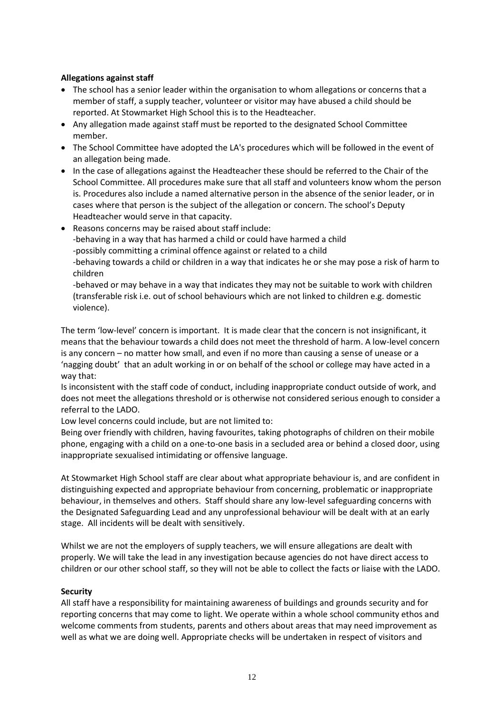## **Allegations against staff**

- The school has a senior leader within the organisation to whom allegations or concerns that a member of staff, a supply teacher, volunteer or visitor may have abused a child should be reported. At Stowmarket High School this is to the Headteacher.
- Any allegation made against staff must be reported to the designated School Committee member.
- The School Committee have adopted the LA's procedures which will be followed in the event of an allegation being made.
- In the case of allegations against the Headteacher these should be referred to the Chair of the School Committee. All procedures make sure that all staff and volunteers know whom the person is. Procedures also include a named alternative person in the absence of the senior leader, or in cases where that person is the subject of the allegation or concern. The school's Deputy Headteacher would serve in that capacity.
- Reasons concerns may be raised about staff include: -behaving in a way that has harmed a child or could have harmed a child -possibly committing a criminal offence against or related to a child
	- -behaving towards a child or children in a way that indicates he or she may pose a risk of harm to children
	- -behaved or may behave in a way that indicates they may not be suitable to work with children (transferable risk i.e. out of school behaviours which are not linked to children e.g. domestic violence).

The term 'low-level' concern is important. It is made clear that the concern is not insignificant, it means that the behaviour towards a child does not meet the threshold of harm. A low-level concern is any concern – no matter how small, and even if no more than causing a sense of unease or a 'nagging doubt' that an adult working in or on behalf of the school or college may have acted in a way that:

Is inconsistent with the staff code of conduct, including inappropriate conduct outside of work, and does not meet the allegations threshold or is otherwise not considered serious enough to consider a referral to the LADO.

Low level concerns could include, but are not limited to:

Being over friendly with children, having favourites, taking photographs of children on their mobile phone, engaging with a child on a one-to-one basis in a secluded area or behind a closed door, using inappropriate sexualised intimidating or offensive language.

At Stowmarket High School staff are clear about what appropriate behaviour is, and are confident in distinguishing expected and appropriate behaviour from concerning, problematic or inappropriate behaviour, in themselves and others. Staff should share any low-level safeguarding concerns with the Designated Safeguarding Lead and any unprofessional behaviour will be dealt with at an early stage. All incidents will be dealt with sensitively.

Whilst we are not the employers of supply teachers, we will ensure allegations are dealt with properly. We will take the lead in any investigation because agencies do not have direct access to children or our other school staff, so they will not be able to collect the facts or liaise with the LADO.

## **Security**

All staff have a responsibility for maintaining awareness of buildings and grounds security and for reporting concerns that may come to light. We operate within a whole school community ethos and welcome comments from students, parents and others about areas that may need improvement as well as what we are doing well. Appropriate checks will be undertaken in respect of visitors and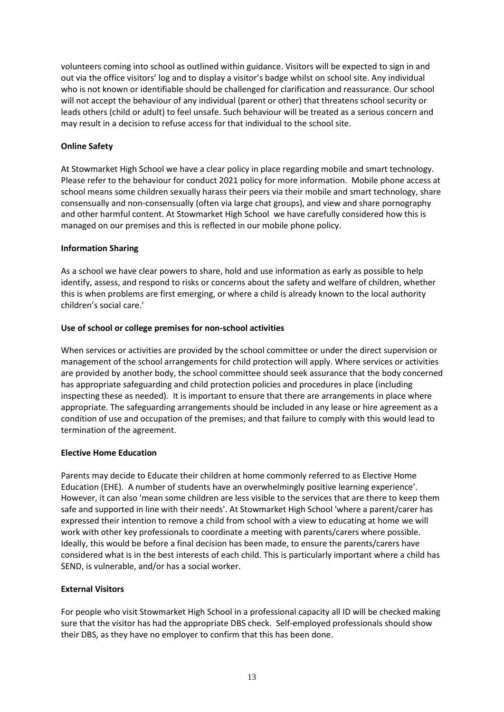volunteers coming into school as outlined within guidance. Visitors will be expected to sign in and out via the office visitors' log and to display a visitor's badge whilst on school site. Any individual who is not known or identifiable should be challenged for clarification and reassurance. Our school will not accept the behaviour of any individual (parent or other) that threatens school security or leads others (child or adult) to feel unsafe. Such behaviour will be treated as a serious concern and may result in a decision to refuse access for that individual to the school site.

## **Online Safety**

At Stowmarket High School we have a clear policy in place regarding mobile and smart technology. Please refer to the behaviour for conduct 2021 policy for more information. Mobile phone access at school means some children sexually harass their peers via their mobile and smart technology, share consensually and non-consensually (often via large chat groups), and view and share pornography and other harmful content. At Stowmarket High School we have carefully considered how this is managed on our premises and this is reflected in our mobile phone policy.

## **Information Sharing**

As a school we have clear powers to share, hold and use information as early as possible to help identify, assess, and respond to risks or concerns about the safety and welfare of children, whether this is when problems are first emerging, or where a child is already known to the local authority children's social care.'

## **Use of school or college premises for non-school activities**

When services or activities are provided by the school committee or under the direct supervision or management of the school arrangements for child protection will apply. Where services or activities are provided by another body, the school committee should seek assurance that the body concerned has appropriate safeguarding and child protection policies and procedures in place (including inspecting these as needed). It is important to ensure that there are arrangements in place where appropriate. The safeguarding arrangements should be included in any lease or hire agreement as a condition of use and occupation of the premises; and that failure to comply with this would lead to termination of the agreement.

#### **Elective Home Education**

Parents may decide to Educate their children at home commonly referred to as Elective Home Education (EHE). A number of students have an overwhelmingly positive learning experience'. However, it can also 'mean some children are less visible to the services that are there to keep them safe and supported in line with their needs'. At Stowmarket High School 'where a parent/carer has expressed their intention to remove a child from school with a view to educating at home we will work with other key professionals to coordinate a meeting with parents/carers where possible. Ideally, this would be before a final decision has been made, to ensure the parents/carers have considered what is in the best interests of each child. This is particularly important where a child has SEND, is vulnerable, and/or has a social worker.

## **External Visitors**

For people who visit Stowmarket High School in a professional capacity all ID will be checked making sure that the visitor has had the appropriate DBS check. Self-employed professionals should show their DBS, as they have no employer to confirm that this has been done.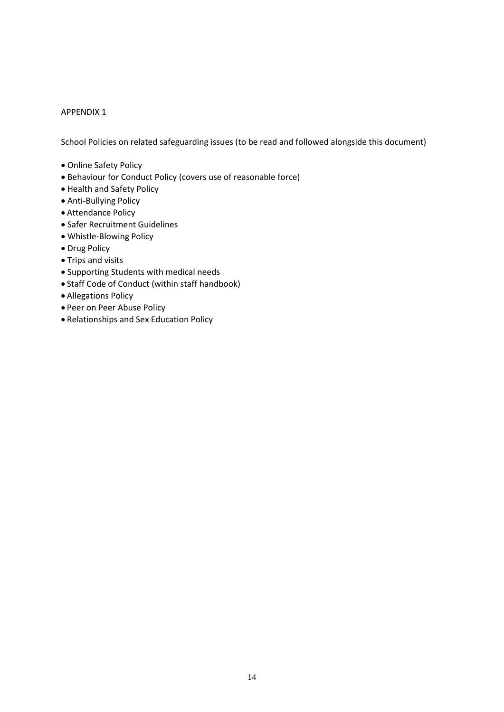## APPENDIX 1

School Policies on related safeguarding issues (to be read and followed alongside this document)

- Online Safety Policy
- Behaviour for Conduct Policy (covers use of reasonable force)
- Health and Safety Policy
- Anti-Bullying Policy
- Attendance Policy
- Safer Recruitment Guidelines
- Whistle-Blowing Policy
- Drug Policy
- Trips and visits
- Supporting Students with medical needs
- Staff Code of Conduct (within staff handbook)
- Allegations Policy
- Peer on Peer Abuse Policy
- Relationships and Sex Education Policy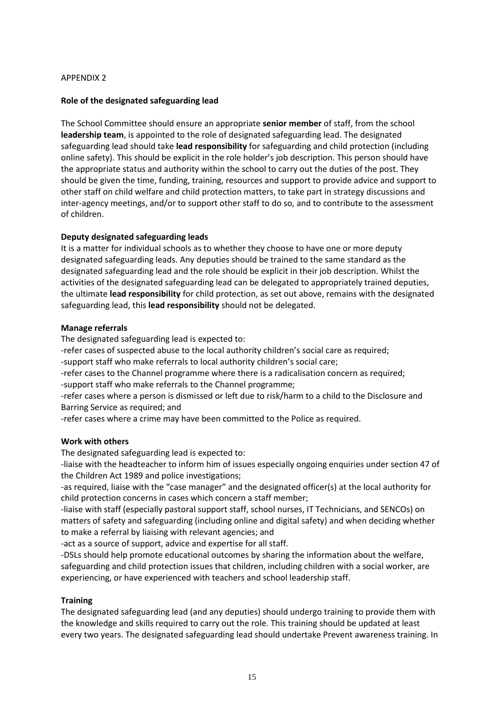#### APPENDIX 2

#### **Role of the designated safeguarding lead**

The School Committee should ensure an appropriate **senior member** of staff, from the school **leadership team**, is appointed to the role of designated safeguarding lead. The designated safeguarding lead should take **lead responsibility** for safeguarding and child protection (including online safety). This should be explicit in the role holder's job description. This person should have the appropriate status and authority within the school to carry out the duties of the post. They should be given the time, funding, training, resources and support to provide advice and support to other staff on child welfare and child protection matters, to take part in strategy discussions and inter-agency meetings, and/or to support other staff to do so, and to contribute to the assessment of children.

## **Deputy designated safeguarding leads**

It is a matter for individual schools as to whether they choose to have one or more deputy designated safeguarding leads. Any deputies should be trained to the same standard as the designated safeguarding lead and the role should be explicit in their job description. Whilst the activities of the designated safeguarding lead can be delegated to appropriately trained deputies, the ultimate **lead responsibility** for child protection, as set out above, remains with the designated safeguarding lead, this **lead responsibility** should not be delegated.

## **Manage referrals**

The designated safeguarding lead is expected to:

-refer cases of suspected abuse to the local authority children's social care as required;

-support staff who make referrals to local authority children's social care;

-refer cases to the Channel programme where there is a radicalisation concern as required;

-support staff who make referrals to the Channel programme;

-refer cases where a person is dismissed or left due to risk/harm to a child to the Disclosure and Barring Service as required; and

-refer cases where a crime may have been committed to the Police as required.

## **Work with others**

The designated safeguarding lead is expected to:

-liaise with the headteacher to inform him of issues especially ongoing enquiries under section 47 of the Children Act 1989 and police investigations;

-as required, liaise with the "case manager" and the designated officer(s) at the local authority for child protection concerns in cases which concern a staff member;

-liaise with staff (especially pastoral support staff, school nurses, IT Technicians, and SENCOs) on matters of safety and safeguarding (including online and digital safety) and when deciding whether to make a referral by liaising with relevant agencies; and

-act as a source of support, advice and expertise for all staff.

-DSLs should help promote educational outcomes by sharing the information about the welfare, safeguarding and child protection issues that children, including children with a social worker, are experiencing, or have experienced with teachers and school leadership staff.

## **Training**

The designated safeguarding lead (and any deputies) should undergo training to provide them with the knowledge and skills required to carry out the role. This training should be updated at least every two years. The designated safeguarding lead should undertake Prevent awareness training. In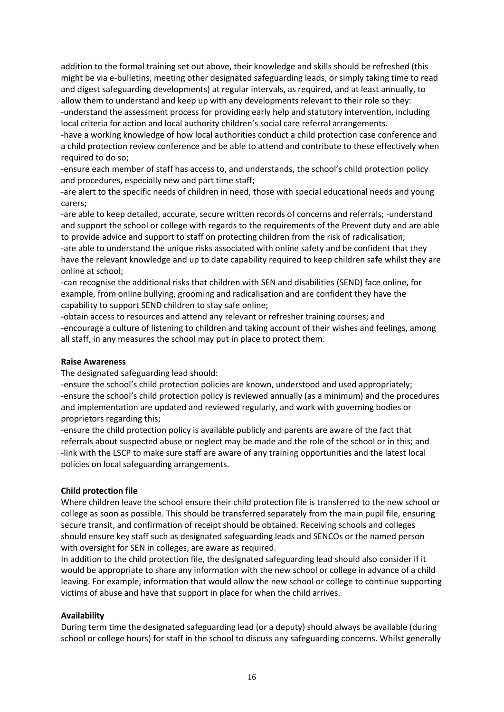addition to the formal training set out above, their knowledge and skills should be refreshed (this might be via e-bulletins, meeting other designated safeguarding leads, or simply taking time to read and digest safeguarding developments) at regular intervals, as required, and at least annually, to allow them to understand and keep up with any developments relevant to their role so they: -understand the assessment process for providing early help and statutory intervention, including local criteria for action and local authority children's social care referral arrangements.

-have a working knowledge of how local authorities conduct a child protection case conference and a child protection review conference and be able to attend and contribute to these effectively when required to do so;

-ensure each member of staff has access to, and understands, the school's child protection policy and procedures, especially new and part time staff;

-are alert to the specific needs of children in need, those with special educational needs and young carers;

-are able to keep detailed, accurate, secure written records of concerns and referrals; -understand and support the school or college with regards to the requirements of the Prevent duty and are able to provide advice and support to staff on protecting children from the risk of radicalisation; -are able to understand the unique risks associated with online safety and be confident that they have the relevant knowledge and up to date capability required to keep children safe whilst they are online at school;

-can recognise the additional risks that children with SEN and disabilities (SEND) face online, for example, from online bullying, grooming and radicalisation and are confident they have the capability to support SEND children to stay safe online;

-obtain access to resources and attend any relevant or refresher training courses; and -encourage a culture of listening to children and taking account of their wishes and feelings, among all staff, in any measures the school may put in place to protect them.

#### **Raise Awareness**

The designated safeguarding lead should:

-ensure the school's child protection policies are known, understood and used appropriately; -ensure the school's child protection policy is reviewed annually (as a minimum) and the procedures and implementation are updated and reviewed regularly, and work with governing bodies or proprietors regarding this;

-ensure the child protection policy is available publicly and parents are aware of the fact that referrals about suspected abuse or neglect may be made and the role of the school or in this; and -link with the LSCP to make sure staff are aware of any training opportunities and the latest local policies on local safeguarding arrangements.

#### **Child protection file**

Where children leave the school ensure their child protection file is transferred to the new school or college as soon as possible. This should be transferred separately from the main pupil file, ensuring secure transit, and confirmation of receipt should be obtained. Receiving schools and colleges should ensure key staff such as designated safeguarding leads and SENCOs or the named person with oversight for SEN in colleges, are aware as required.

In addition to the child protection file, the designated safeguarding lead should also consider if it would be appropriate to share any information with the new school or college in advance of a child leaving. For example, information that would allow the new school or college to continue supporting victims of abuse and have that support in place for when the child arrives.

## **Availability**

During term time the designated safeguarding lead (or a deputy) should always be available (during school or college hours) for staff in the school to discuss any safeguarding concerns. Whilst generally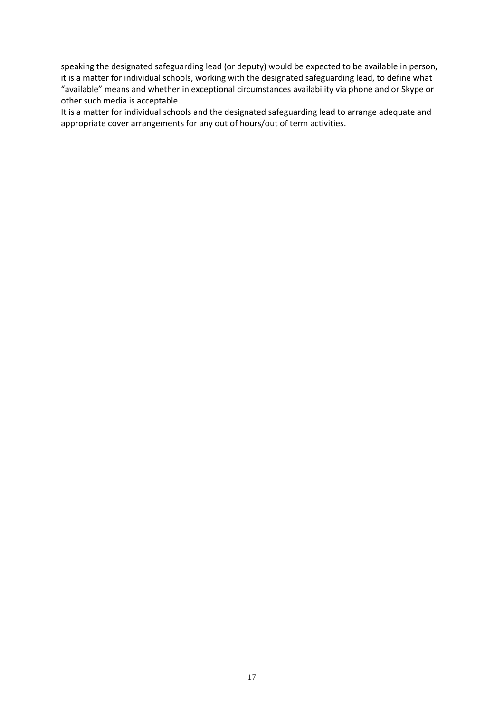speaking the designated safeguarding lead (or deputy) would be expected to be available in person, it is a matter for individual schools, working with the designated safeguarding lead, to define what "available" means and whether in exceptional circumstances availability via phone and or Skype or other such media is acceptable.

It is a matter for individual schools and the designated safeguarding lead to arrange adequate and appropriate cover arrangements for any out of hours/out of term activities.